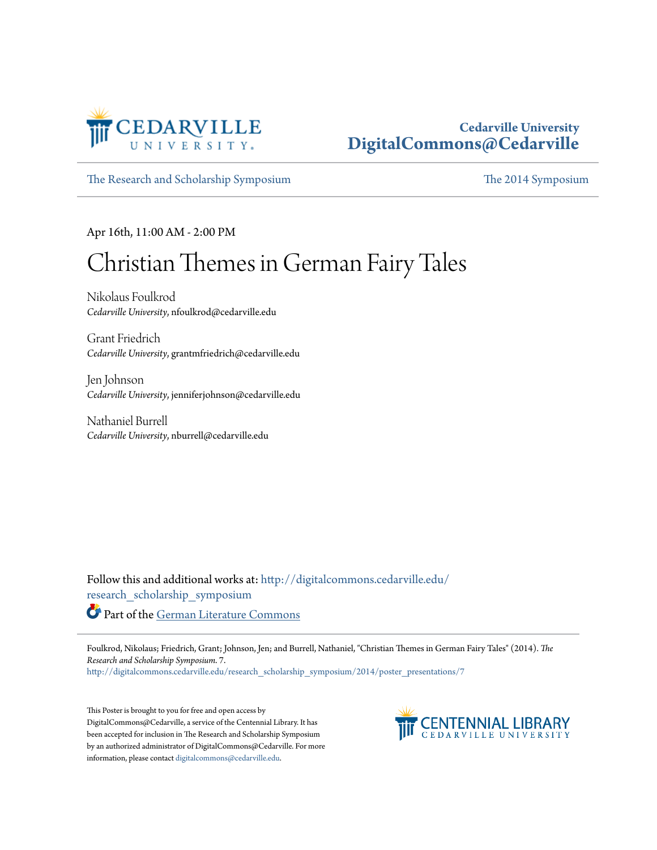

#### **Cedarville University [DigitalCommons@Cedarville](http://digitalcommons.cedarville.edu?utm_source=digitalcommons.cedarville.edu%2Fresearch_scholarship_symposium%2F2014%2Fposter_presentations%2F7&utm_medium=PDF&utm_campaign=PDFCoverPages)**

[The Research and Scholarship Symposium](http://digitalcommons.cedarville.edu/research_scholarship_symposium?utm_source=digitalcommons.cedarville.edu%2Fresearch_scholarship_symposium%2F2014%2Fposter_presentations%2F7&utm_medium=PDF&utm_campaign=PDFCoverPages) [The 2014 Symposium](http://digitalcommons.cedarville.edu/research_scholarship_symposium/2014?utm_source=digitalcommons.cedarville.edu%2Fresearch_scholarship_symposium%2F2014%2Fposter_presentations%2F7&utm_medium=PDF&utm_campaign=PDFCoverPages)

Apr 16th, 11:00 AM - 2:00 PM

# Christian Themes in German Fairy Tales

Nikolaus Foulkrod *Cedarville University*, nfoulkrod@cedarville.edu

Grant Friedrich *Cedarville University*, grantmfriedrich@cedarville.edu

Jen Johnson *Cedarville University*, jenniferjohnson@cedarville.edu

Nathaniel Burrell *Cedarville University*, nburrell@cedarville.edu

Follow this and additional works at: [http://digitalcommons.cedarville.edu/](http://digitalcommons.cedarville.edu/research_scholarship_symposium?utm_source=digitalcommons.cedarville.edu%2Fresearch_scholarship_symposium%2F2014%2Fposter_presentations%2F7&utm_medium=PDF&utm_campaign=PDFCoverPages) [research\\_scholarship\\_symposium](http://digitalcommons.cedarville.edu/research_scholarship_symposium?utm_source=digitalcommons.cedarville.edu%2Fresearch_scholarship_symposium%2F2014%2Fposter_presentations%2F7&utm_medium=PDF&utm_campaign=PDFCoverPages) Part of the [German Literature Commons](http://network.bepress.com/hgg/discipline/469?utm_source=digitalcommons.cedarville.edu%2Fresearch_scholarship_symposium%2F2014%2Fposter_presentations%2F7&utm_medium=PDF&utm_campaign=PDFCoverPages)

Foulkrod, Nikolaus; Friedrich, Grant; Johnson, Jen; and Burrell, Nathaniel, "Christian Themes in German Fairy Tales" (2014). *The Research and Scholarship Symposium*. 7.

[http://digitalcommons.cedarville.edu/research\\_scholarship\\_symposium/2014/poster\\_presentations/7](http://digitalcommons.cedarville.edu/research_scholarship_symposium/2014/poster_presentations/7?utm_source=digitalcommons.cedarville.edu%2Fresearch_scholarship_symposium%2F2014%2Fposter_presentations%2F7&utm_medium=PDF&utm_campaign=PDFCoverPages)

This Poster is brought to you for free and open access by DigitalCommons@Cedarville, a service of the Centennial Library. It has been accepted for inclusion in The Research and Scholarship Symposium by an authorized administrator of DigitalCommons@Cedarville. For more information, please contact [digitalcommons@cedarville.edu.](mailto:digitalcommons@cedarville.edu)